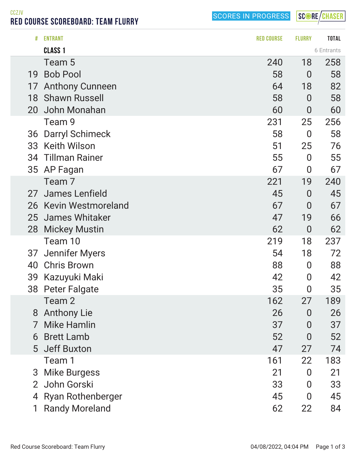SCORES IN PROGRESS

SCORE/CHASER

CCZJV RED COURSE SCOREBOARD: TEAM FLURRY

|    | <b>CLASS 1</b>           |     |                  | 6 Entrants |
|----|--------------------------|-----|------------------|------------|
|    | Team 5                   | 240 | 18               | 258        |
| 19 | <b>Bob Pool</b>          | 58  | $\mathbf 0$      | 58         |
| 17 | <b>Anthony Cunneen</b>   | 64  | 18               | 82         |
| 18 | <b>Shawn Russell</b>     | 58  | $\overline{0}$   | 58         |
| 20 | John Monahan             | 60  | $\overline{0}$   | 60         |
|    | Team 9                   | 231 | 25               | 256        |
| 36 | <b>Darryl Schimeck</b>   | 58  | $\overline{0}$   | 58         |
| 33 | <b>Keith Wilson</b>      | 51  | 25               | 76         |
|    | 34 Tillman Rainer        | 55  | $\overline{0}$   | 55         |
|    | 35 AP Fagan              | 67  | $\overline{0}$   | 67         |
|    | Team 7                   | 221 | 19               | 240        |
| 27 | James Lenfield           | 45  | $\overline{0}$   | 45         |
|    | 26 Kevin Westmoreland    | 67  | $\overline{0}$   | 67         |
| 25 | James Whitaker           | 47  | 19               | 66         |
| 28 | <b>Mickey Mustin</b>     | 62  | $\overline{0}$   | 62         |
|    | Team 10                  | 219 | 18               | 237        |
| 37 | <b>Jennifer Myers</b>    | 54  | 18               | 72         |
| 40 | <b>Chris Brown</b>       | 88  | $\boldsymbol{0}$ | 88         |
| 39 | Kazuyuki Maki            | 42  | $\overline{0}$   | 42         |
| 38 | <b>Peter Falgate</b>     | 35  | $\overline{0}$   | 35         |
|    | Team 2                   | 162 | 27               | 189        |
| 8  | <b>Anthony Lie</b>       | 26  | $\overline{0}$   | 26         |
| 7  | <b>Mike Hamlin</b>       | 37  | $\overline{0}$   | 37         |
| 6  | <b>Brett Lamb</b>        | 52  | $\overline{0}$   | 52         |
|    | 5 Jeff Buxton            | 47  | 27               | 74         |
|    | Team 1                   | 161 | 22               | 183        |
| 3  | <b>Mike Burgess</b>      | 21  | $\Omega$         | 21         |
|    | 2 John Gorski            | 33  | 0                | 33         |
| 4  | <b>Ryan Rothenberger</b> | 45  | $\overline{0}$   | 45         |
|    | <b>Randy Moreland</b>    | 62  | 22               | 84         |

# ENTRANT RED COURSE FLURRY TOTAL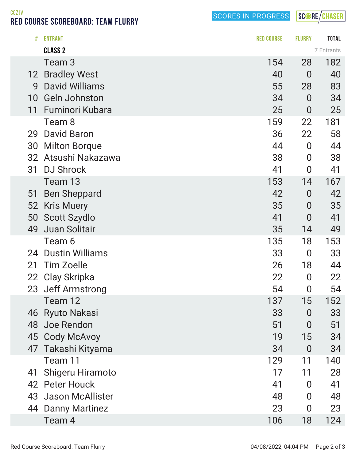SCORES IN PROGRESS

SCORE/CHASER

RED COURSE SCOREBOARD: TEAM FLURRY

CCZJV

|                 | <b>CLASS 2</b>          |     |                | 7 Entrants |
|-----------------|-------------------------|-----|----------------|------------|
|                 | Team 3                  | 154 | 28             | 182        |
| 12 <sup>2</sup> | <b>Bradley West</b>     | 40  | $\overline{0}$ | 40         |
| 9               | <b>David Williams</b>   | 55  | 28             | 83         |
| 10              | <b>Geln Johnston</b>    | 34  | $\overline{0}$ | 34         |
| 11              | Fuminori Kubara         | 25  | $\overline{0}$ | 25         |
|                 | Team 8                  | 159 | 22             | 181        |
| 29              | <b>David Baron</b>      | 36  | 22             | 58         |
| 30              | <b>Milton Borque</b>    | 44  | $\overline{0}$ | 44         |
|                 | 32 Atsushi Nakazawa     | 38  | $\overline{0}$ | 38         |
| 31              | <b>DJ Shrock</b>        | 41  | $\overline{0}$ | 41         |
|                 | Team 13                 | 153 | 14             | 167        |
| 51              | <b>Ben Sheppard</b>     | 42  | $\overline{0}$ | 42         |
| 52              | <b>Kris Muery</b>       | 35  | $\overline{0}$ | 35         |
| 50              | <b>Scott Szydlo</b>     | 41  | $\overline{0}$ | 41         |
| 49              | Juan Solitair           | 35  | 14             | 49         |
|                 | Team 6                  | 135 | 18             | 153        |
| 24              | <b>Dustin Williams</b>  | 33  | $\overline{0}$ | 33         |
| 21              | <b>Tim Zoelle</b>       | 26  | 18             | 44         |
|                 | 22 Clay Skripka         | 22  | $\overline{0}$ | 22         |
|                 | 23 Jeff Armstrong       | 54  | $\bf{0}$       | 54         |
|                 | Team 12                 | 137 | 15             | 152        |
|                 | 46 Ryuto Nakasi         | 33  | 0              | 33         |
|                 | 48 Joe Rendon           | 51  | 0              | 51         |
|                 | 45 Cody McAvoy          | 19  | 15             | 34         |
|                 | 47 Takashi Kityama      | 34  | $\overline{0}$ | 34         |
|                 | Team 11                 | 129 | 11             | 140        |
| 41              | <b>Shigeru Hiramoto</b> | 17  | 11             | 28         |
|                 | 42 Peter Houck          | 41  | $\overline{0}$ | 41         |
|                 | 43 Jason McAllister     | 48  | 0              | 48         |
| 44              | <b>Danny Martinez</b>   | 23  | 0              | 23         |
|                 | Team 4                  | 106 | 18             | 124        |
|                 |                         |     |                |            |

# ENTRANT RED COURSE FLURRY TOTAL